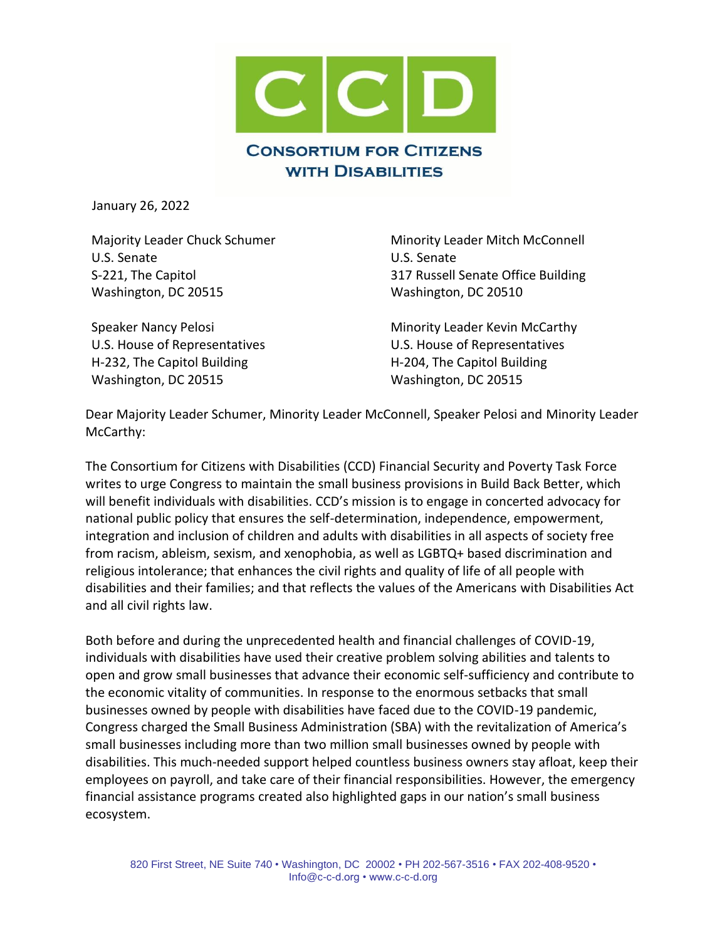

January 26, 2022

U.S. Senate U.S. Senate Washington, DC 20515 Washington, DC 20510

H-232, The Capitol Building The Capitol Building H-204, The Capitol Building Washington, DC 20515 Washington, DC 20515

Majority Leader Chuck Schumer Minority Leader Mitch McConnell S-221, The Capitol 317 Russell Senate Office Building

Speaker Nancy Pelosi **Minority Leader Kevin McCarthy** U.S. House of Representatives U.S. House of Representatives

Dear Majority Leader Schumer, Minority Leader McConnell, Speaker Pelosi and Minority Leader McCarthy:

The Consortium for Citizens with Disabilities (CCD) Financial Security and Poverty Task Force writes to urge Congress to maintain the small business provisions in Build Back Better, which will benefit individuals with disabilities. CCD's mission is to engage in concerted advocacy for national public policy that ensures the self-determination, independence, empowerment, integration and inclusion of children and adults with disabilities in all aspects of society free from racism, ableism, sexism, and xenophobia, as well as LGBTQ+ based discrimination and religious intolerance; that enhances the civil rights and quality of life of all people with disabilities and their families; and that reflects the values of the Americans with Disabilities Act and all civil rights law.

Both before and during the unprecedented health and financial challenges of COVID-19, individuals with disabilities have used their creative problem solving abilities and talents to open and grow small businesses that advance their economic self-sufficiency and contribute to the economic vitality of communities. In response to the enormous setbacks that small businesses owned by people with disabilities have faced due to the COVID-19 pandemic, Congress charged the Small Business Administration (SBA) with the revitalization of America's small businesses including more than two million small businesses owned by people with disabilities. This much-needed support helped countless business owners stay afloat, keep their employees on payroll, and take care of their financial responsibilities. However, the emergency financial assistance programs created also highlighted gaps in our nation's small business ecosystem.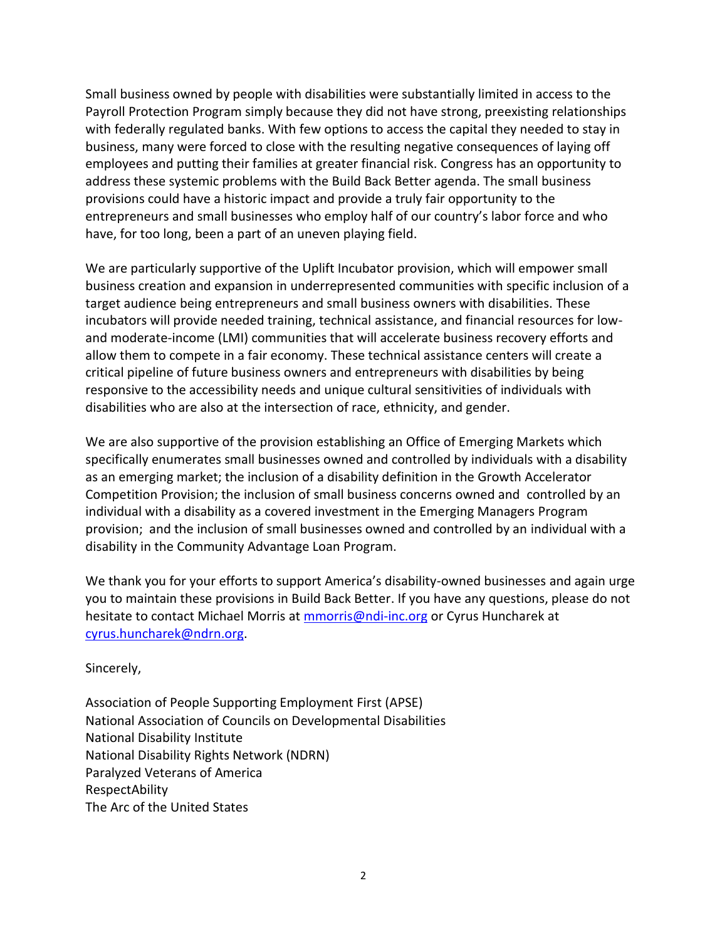Small business owned by people with disabilities were substantially limited in access to the Payroll Protection Program simply because they did not have strong, preexisting relationships with federally regulated banks. With few options to access the capital they needed to stay in business, many were forced to close with the resulting negative consequences of laying off employees and putting their families at greater financial risk. Congress has an opportunity to address these systemic problems with the Build Back Better agenda. The small business provisions could have a historic impact and provide a truly fair opportunity to the entrepreneurs and small businesses who employ half of our country's labor force and who have, for too long, been a part of an uneven playing field.

We are particularly supportive of the Uplift Incubator provision, which will empower small business creation and expansion in underrepresented communities with specific inclusion of a target audience being entrepreneurs and small business owners with disabilities. These incubators will provide needed training, technical assistance, and financial resources for lowand moderate-income (LMI) communities that will accelerate business recovery efforts and allow them to compete in a fair economy. These technical assistance centers will create a critical pipeline of future business owners and entrepreneurs with disabilities by being responsive to the accessibility needs and unique cultural sensitivities of individuals with disabilities who are also at the intersection of race, ethnicity, and gender.

We are also supportive of the provision establishing an Office of Emerging Markets which specifically enumerates small businesses owned and controlled by individuals with a disability as an emerging market; the inclusion of a disability definition in the Growth Accelerator Competition Provision; the inclusion of small business concerns owned and controlled by an individual with a disability as a covered investment in the Emerging Managers Program provision; and the inclusion of small businesses owned and controlled by an individual with a disability in the Community Advantage Loan Program.

We thank you for your efforts to support America's disability-owned businesses and again urge you to maintain these provisions in Build Back Better. If you have any questions, please do not hesitate to contact Michael Morris at [mmorris@ndi-inc.org](mailto:mmorris@ndi-inc.org) or Cyrus Huncharek at [cyrus.huncharek@ndrn.org.](mailto:cyrus.huncharek@ndrn.org)

Sincerely,

Association of People Supporting Employment First (APSE) National Association of Councils on Developmental Disabilities National Disability Institute National Disability Rights Network (NDRN) Paralyzed Veterans of America RespectAbility The Arc of the United States